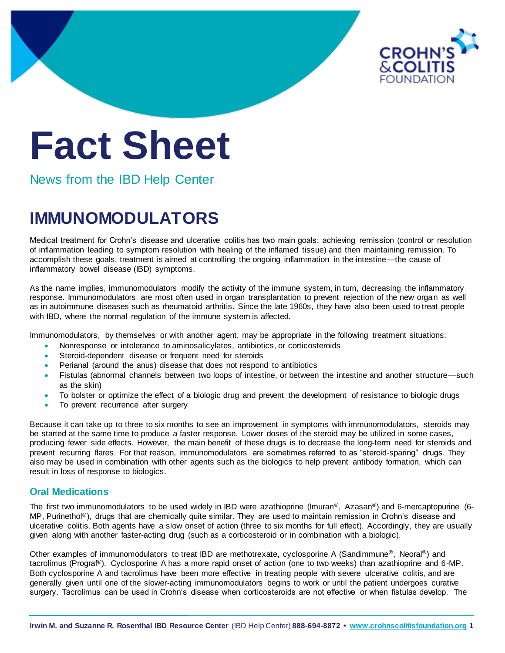

# **Fact Sheet**

News from the IBD Help Center

## **IMMUNOMODULATORS**

Medical treatment for Crohn's disease and ulcerative colitis has two main goals: achieving remission (control or resolution of inflammation leading to symptom resolution with healing of the inflamed tissue) and then maintaining remission. To accomplish these goals, treatment is aimed at controlling the ongoing inflammation in the intestine—the cause of inflammatory bowel disease (IBD) symptoms.

As the name implies, immunomodulators modify the activity of the immune system, in turn, decreasing the inflammatory response. Immunomodulators are most often used in organ transplantation to prevent rejection of the new organ as well as in autoimmune diseases such as rheumatoid arthritis. Since the late 1960s, they have also been used to treat people with IBD, where the normal regulation of the immune system is affected.

Immunomodulators, by themselves or with another agent, may be appropriate in the following treatment situations:

- Nonresponse or intolerance to aminosalicylates, antibiotics, or corticosteroids
- Steroid-dependent disease or frequent need for steroids
- Perianal (around the anus) disease that does not respond to antibiotics
- Fistulas (abnormal channels between two loops of intestine, or between the intestine and another structure—such as the skin)
- To bolster or optimize the effect of a biologic drug and prevent the development of resistance to biologic drugs
- To prevent recurrence after surgery

Because it can take up to three to six months to see an improvement in symptoms with immunomodulators, steroids may be started at the same time to produce a faster response. Lower doses of the steroid may be utilized in some cases, producing fewer side effects. However, the main benefit of these drugs is to decrease the long-term need for steroids and prevent recurring flares. For that reason, immunomodulators are sometimes referred to as "steroid-sparing" drugs. They also may be used in combination with other agents such as the biologics to help prevent antibody formation, which can result in loss of response to biologics.

### **Oral Medications**

The first two immunomodulators to be used widely in IBD were azathioprine (Imuran®, Azasan®) and 6-mercaptopurine (6- MP, Purinethol®), drugs that are chemically quite similar. They are used to maintain remission in Crohn's disease and ulcerative colitis. Both agents have a slow onset of action (three to six months for full effect). Accordingly, they are usually given along with another faster-acting drug (such as a corticosteroid or in combination with a biologic).

Other examples of immunomodulators to treat IBD are methotrexate, cyclosporine A (Sandimmune®, Neoral®) and tacrolimus (Prograf®). Cyclosporine A has a more rapid onset of action (one to two weeks) than azathioprine and 6-MP. Both cyclosporine A and tacrolimus have been more effective in treating people with severe ulcerative colitis, and are generally given until one of the slower-acting immunomodulators begins to work or until the patient undergoes curative surgery. Tacrolimus can be used in Crohn's disease when corticosteroids are not effective or when fistulas develop. The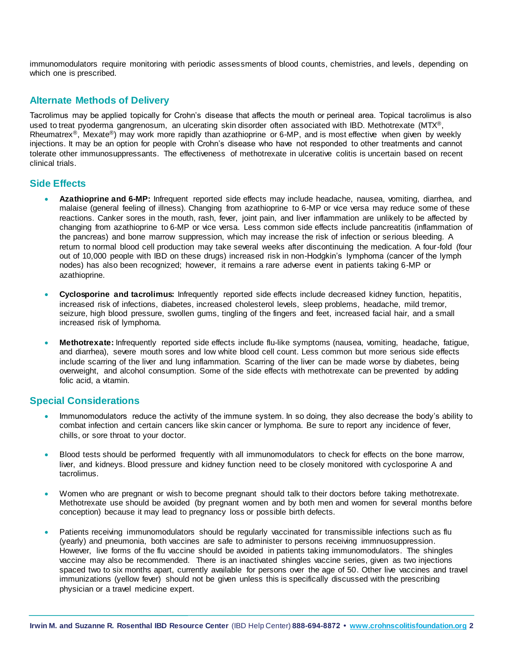immunomodulators require monitoring with periodic assessments of blood counts, chemistries, and levels, depending on which one is prescribed.

#### **Alternate Methods of Delivery**

Tacrolimus may be applied topically for Crohn's disease that affects the mouth or perineal area. Topical tacrolimus is also used to treat pyoderma gangrenosum, an ulcerating skin disorder often associated with IBD. Methotrexate (MTX<sup>®</sup>, Rheumatrex<sup>®</sup>, Mexate<sup>®</sup>) may work more rapidly than azathioprine or 6-MP, and is most effective when given by weekly injections. It may be an option for people with Crohn's disease who have not responded to other treatments and cannot tolerate other immunosuppressants. The effectiveness of methotrexate in ulcerative colitis is uncertain based on recent clinical trials.

#### **Side Effects**

- **Azathioprine and 6-MP:** Infrequent reported side effects may include headache, nausea, vomiting, diarrhea, and malaise (general feeling of illness). Changing from azathioprine to 6-MP or vice versa may reduce some of these reactions. Canker sores in the mouth, rash, fever, joint pain, and liver inflammation are unlikely to be affected by changing from azathioprine to 6-MP or vice versa. Less common side effects include pancreatitis (inflammation of the pancreas) and bone marrow suppression, which may increase the risk of infection or serious bleeding. A return to normal blood cell production may take several weeks after discontinuing the medication. A four-fold (four out of 10,000 people with IBD on these drugs) increased risk in non-Hodgkin's lymphoma (cancer of the lymph nodes) has also been recognized; however, it remains a rare adverse event in patients taking 6-MP or azathioprine.
- **Cyclosporine and tacrolimus:** Infrequently reported side effects include decreased kidney function, hepatitis, increased risk of infections, diabetes, increased cholesterol levels, sleep problems, headache, mild tremor, seizure, high blood pressure, swollen gums, tingling of the fingers and feet, increased facial hair, and a small increased risk of lymphoma.
- **Methotrexate:** Infrequently reported side effects include flu-like symptoms (nausea, vomiting, headache, fatigue, and diarrhea), severe mouth sores and low white blood cell count. Less common but more serious side effects include scarring of the liver and lung inflammation. Scarring of the liver can be made worse by diabetes, being overweight, and alcohol consumption. Some of the side effects with methotrexate can be prevented by adding folic acid, a vitamin.

#### **Special Considerations**

- Immunomodulators reduce the activity of the immune system. In so doing, they also decrease the body's ability to combat infection and certain cancers like skin cancer or lymphoma. Be sure to report any incidence of fever, chills, or sore throat to your doctor.
- Blood tests should be performed frequently with all immunomodulators to check for effects on the bone marrow, liver, and kidneys. Blood pressure and kidney function need to be closely monitored with cyclosporine A and tacrolimus.
- Women who are pregnant or wish to become pregnant should talk to their doctors before taking methotrexate. Methotrexate use should be avoided (by pregnant women and by both men and women for several months before conception) because it may lead to pregnancy loss or possible birth defects.
- Patients receiving immunomodulators should be regularly vaccinated for transmissible infections such as flu (yearly) and pneumonia, both vaccines are safe to administer to persons receiving immnuosuppression. However, live forms of the flu vaccine should be avoided in patients taking immunomodulators. The shingles vaccine may also be recommended. There is an inactivated shingles vaccine series, given as two injections spaced two to six months apart, currently available for persons over the age of 50. Other live vaccines and travel immunizations (yellow fever) should not be given unless this is specifically discussed with the prescribing physician or a travel medicine expert.